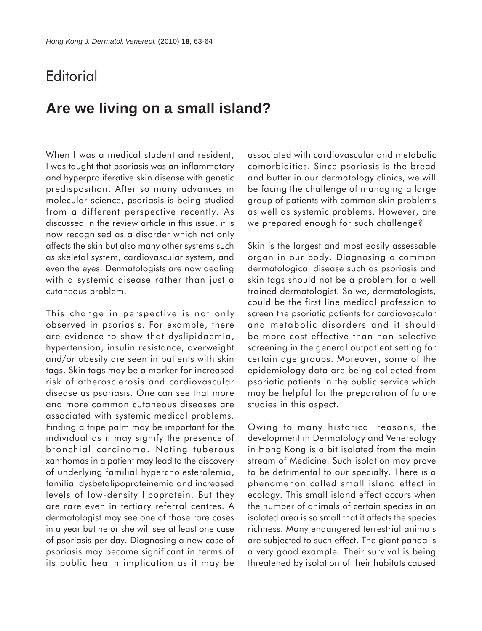## **Editorial**

## **Are we living on a small island?**

When I was a medical student and resident, I was taught that psoriasis was an inflammatory and hyperproliferative skin disease with genetic predisposition. After so many advances in molecular science, psoriasis is being studied from a different perspective recently. As discussed in the review article in this issue, it is now recognised as a disorder which not only affects the skin but also many other systems such as skeletal system, cardiovascular system, and even the eyes. Dermatologists are now dealing with a systemic disease rather than just a cutaneous problem.

This change in perspective is not only observed in psoriasis. For example, there are evidence to show that dyslipidaemia, hypertension, insulin resistance, overweight and/or obesity are seen in patients with skin tags. Skin tags may be a marker for increased risk of atherosclerosis and cardiovascular disease as psoriasis. One can see that more and more common cutaneous diseases are associated with systemic medical problems. Finding a tripe palm may be important for the individual as it may signify the presence of bronchial carcinoma. Noting tuberous xanthomas in a patient may lead to the discovery of underlying familial hypercholesterolemia, familial dysbetalipoproteinemia and increased levels of low-density lipoprotein. But they are rare even in tertiary referral centres. A dermatologist may see one of those rare cases in a year but he or she will see at least one case of psoriasis per day. Diagnosing a new case of psoriasis may become significant in terms of its public health implication as it may be

associated with cardiovascular and metabolic comorbidities. Since psoriasis is the bread and butter in our dermatology clinics, we will be facing the challenge of managing a large group of patients with common skin problems as well as systemic problems. However, are we prepared enough for such challenge?

Skin is the largest and most easily assessable organ in our body. Diagnosing a common dermatological disease such as psoriasis and skin tags should not be a problem for a well trained dermatologist. So we, dermatologists, could be the first line medical profession to screen the psoriatic patients for cardiovascular and metabolic disorders and it should be more cost effective than non-selective screening in the general outpatient setting for certain age groups. Moreover, some of the epidemiology data are being collected from psoriatic patients in the public service which may be helpful for the preparation of future studies in this aspect.

Owing to many historical reasons, the development in Dermatology and Venereology in Hong Kong is a bit isolated from the main stream of Medicine. Such isolation may prove to be detrimental to our specialty. There is a phenomenon called small island effect in ecology. This small island effect occurs when the number of animals of certain species in an isolated area is so small that it affects the species richness. Many endangered terrestrial animals are subjected to such effect. The giant panda is a very good example. Their survival is being threatened by isolation of their habitats caused